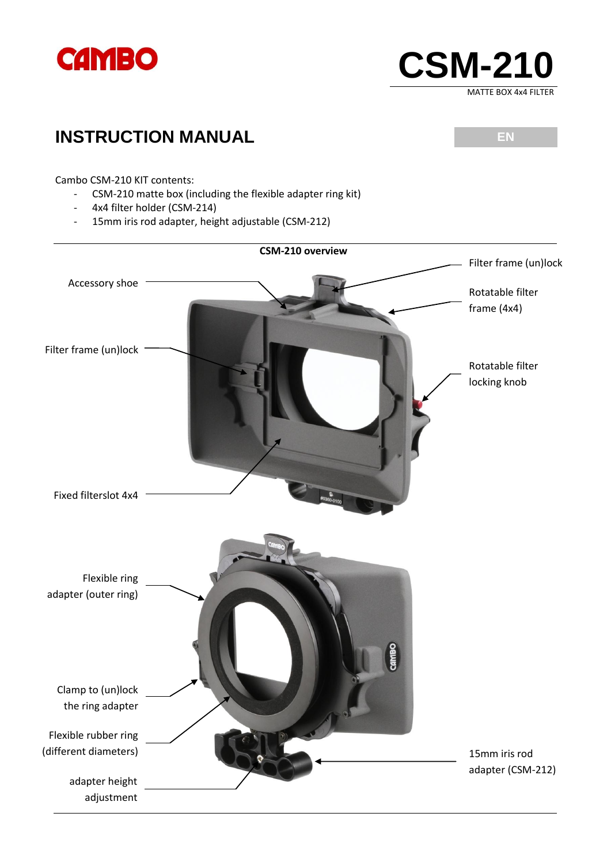



## **INSTRUCTION MANUAL** EN

Cambo CSM-210 KIT contents:

- CSM-210 matte box (including the flexible adapter ring kit)
- 4x4 filter holder (CSM-214)
- 15mm iris rod adapter, height adjustable (CSM-212)